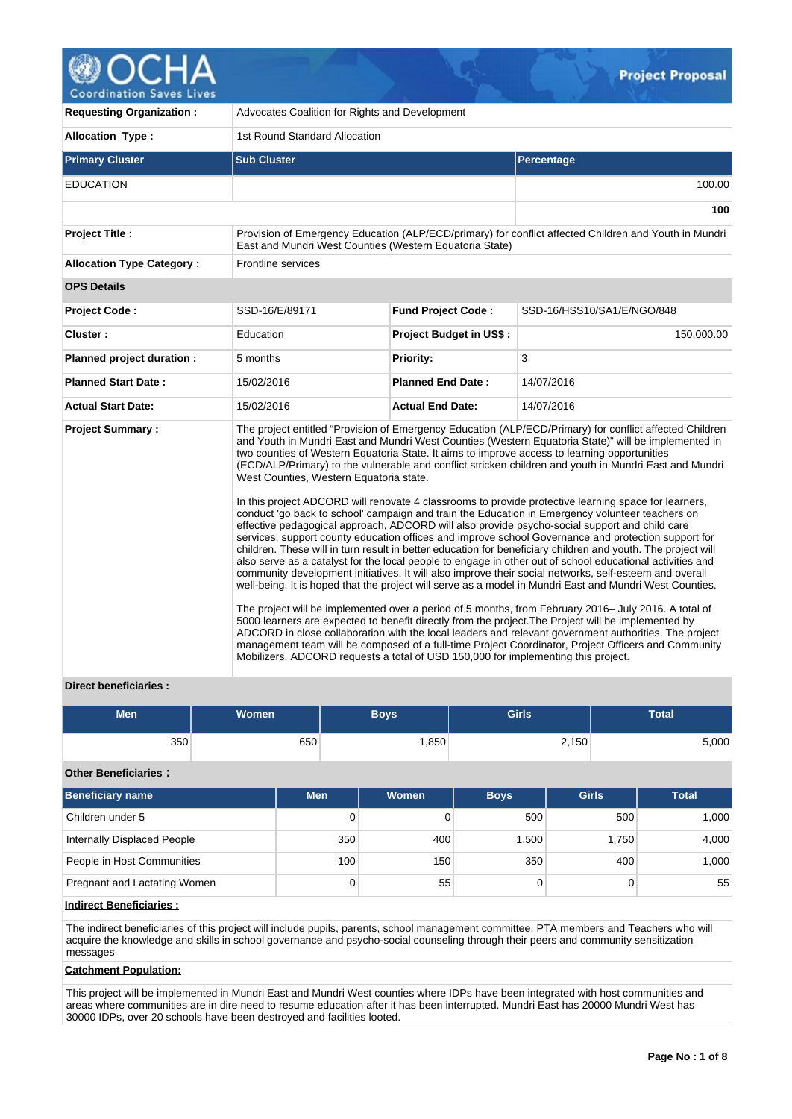

**Coordination Saves Lives** 

| <b>Requesting Organization:</b>  | Advocates Coalition for Rights and Development                                                                               |                                |                                                                                                                                                                                                                                                                                                                                                                                                                                                                                                                                                                                                                                                                                                                                                                                                                                                                                                                                                                                                                                                                                                                                                                                                                                                                                                                                                                                                                                                                                                                                                                                                                                                                                                                              |  |  |  |  |
|----------------------------------|------------------------------------------------------------------------------------------------------------------------------|--------------------------------|------------------------------------------------------------------------------------------------------------------------------------------------------------------------------------------------------------------------------------------------------------------------------------------------------------------------------------------------------------------------------------------------------------------------------------------------------------------------------------------------------------------------------------------------------------------------------------------------------------------------------------------------------------------------------------------------------------------------------------------------------------------------------------------------------------------------------------------------------------------------------------------------------------------------------------------------------------------------------------------------------------------------------------------------------------------------------------------------------------------------------------------------------------------------------------------------------------------------------------------------------------------------------------------------------------------------------------------------------------------------------------------------------------------------------------------------------------------------------------------------------------------------------------------------------------------------------------------------------------------------------------------------------------------------------------------------------------------------------|--|--|--|--|
| <b>Allocation Type:</b>          | 1st Round Standard Allocation                                                                                                |                                |                                                                                                                                                                                                                                                                                                                                                                                                                                                                                                                                                                                                                                                                                                                                                                                                                                                                                                                                                                                                                                                                                                                                                                                                                                                                                                                                                                                                                                                                                                                                                                                                                                                                                                                              |  |  |  |  |
| <b>Primary Cluster</b>           | <b>Sub Cluster</b>                                                                                                           |                                | Percentage                                                                                                                                                                                                                                                                                                                                                                                                                                                                                                                                                                                                                                                                                                                                                                                                                                                                                                                                                                                                                                                                                                                                                                                                                                                                                                                                                                                                                                                                                                                                                                                                                                                                                                                   |  |  |  |  |
| <b>EDUCATION</b>                 |                                                                                                                              |                                | 100.00                                                                                                                                                                                                                                                                                                                                                                                                                                                                                                                                                                                                                                                                                                                                                                                                                                                                                                                                                                                                                                                                                                                                                                                                                                                                                                                                                                                                                                                                                                                                                                                                                                                                                                                       |  |  |  |  |
|                                  |                                                                                                                              |                                | 100                                                                                                                                                                                                                                                                                                                                                                                                                                                                                                                                                                                                                                                                                                                                                                                                                                                                                                                                                                                                                                                                                                                                                                                                                                                                                                                                                                                                                                                                                                                                                                                                                                                                                                                          |  |  |  |  |
| <b>Project Title:</b>            | East and Mundri West Counties (Western Equatoria State)                                                                      |                                | Provision of Emergency Education (ALP/ECD/primary) for conflict affected Children and Youth in Mundri                                                                                                                                                                                                                                                                                                                                                                                                                                                                                                                                                                                                                                                                                                                                                                                                                                                                                                                                                                                                                                                                                                                                                                                                                                                                                                                                                                                                                                                                                                                                                                                                                        |  |  |  |  |
| <b>Allocation Type Category:</b> | Frontline services                                                                                                           |                                |                                                                                                                                                                                                                                                                                                                                                                                                                                                                                                                                                                                                                                                                                                                                                                                                                                                                                                                                                                                                                                                                                                                                                                                                                                                                                                                                                                                                                                                                                                                                                                                                                                                                                                                              |  |  |  |  |
| <b>OPS Details</b>               |                                                                                                                              |                                |                                                                                                                                                                                                                                                                                                                                                                                                                                                                                                                                                                                                                                                                                                                                                                                                                                                                                                                                                                                                                                                                                                                                                                                                                                                                                                                                                                                                                                                                                                                                                                                                                                                                                                                              |  |  |  |  |
| <b>Project Code:</b>             | SSD-16/E/89171                                                                                                               | <b>Fund Project Code:</b>      | SSD-16/HSS10/SA1/E/NGO/848                                                                                                                                                                                                                                                                                                                                                                                                                                                                                                                                                                                                                                                                                                                                                                                                                                                                                                                                                                                                                                                                                                                                                                                                                                                                                                                                                                                                                                                                                                                                                                                                                                                                                                   |  |  |  |  |
| Cluster:                         | Education                                                                                                                    | <b>Project Budget in US\$:</b> | 150,000.00                                                                                                                                                                                                                                                                                                                                                                                                                                                                                                                                                                                                                                                                                                                                                                                                                                                                                                                                                                                                                                                                                                                                                                                                                                                                                                                                                                                                                                                                                                                                                                                                                                                                                                                   |  |  |  |  |
| Planned project duration :       | 5 months                                                                                                                     | Priority:                      | 3                                                                                                                                                                                                                                                                                                                                                                                                                                                                                                                                                                                                                                                                                                                                                                                                                                                                                                                                                                                                                                                                                                                                                                                                                                                                                                                                                                                                                                                                                                                                                                                                                                                                                                                            |  |  |  |  |
| <b>Planned Start Date:</b>       | 15/02/2016                                                                                                                   | <b>Planned End Date:</b>       | 14/07/2016                                                                                                                                                                                                                                                                                                                                                                                                                                                                                                                                                                                                                                                                                                                                                                                                                                                                                                                                                                                                                                                                                                                                                                                                                                                                                                                                                                                                                                                                                                                                                                                                                                                                                                                   |  |  |  |  |
| <b>Actual Start Date:</b>        | 15/02/2016                                                                                                                   | <b>Actual End Date:</b>        | 14/07/2016                                                                                                                                                                                                                                                                                                                                                                                                                                                                                                                                                                                                                                                                                                                                                                                                                                                                                                                                                                                                                                                                                                                                                                                                                                                                                                                                                                                                                                                                                                                                                                                                                                                                                                                   |  |  |  |  |
| <b>Project Summary:</b>          | West Counties, Western Equatoria state.<br>Mobilizers. ADCORD requests a total of USD 150,000 for implementing this project. |                                | The project entitled "Provision of Emergency Education (ALP/ECD/Primary) for conflict affected Children<br>and Youth in Mundri East and Mundri West Counties (Western Equatoria State)" will be implemented in<br>two counties of Western Equatoria State. It aims to improve access to learning opportunities<br>(ECD/ALP/Primary) to the vulnerable and conflict stricken children and youth in Mundri East and Mundri<br>In this project ADCORD will renovate 4 classrooms to provide protective learning space for learners,<br>conduct 'go back to school' campaign and train the Education in Emergency volunteer teachers on<br>effective pedagogical approach, ADCORD will also provide psycho-social support and child care<br>services, support county education offices and improve school Governance and protection support for<br>children. These will in turn result in better education for beneficiary children and youth. The project will<br>also serve as a catalyst for the local people to engage in other out of school educational activities and<br>community development initiatives. It will also improve their social networks, self-esteem and overall<br>well-being. It is hoped that the project will serve as a model in Mundri East and Mundri West Counties.<br>The project will be implemented over a period of 5 months, from February 2016– July 2016. A total of<br>5000 learners are expected to benefit directly from the project. The Project will be implemented by<br>ADCORD in close collaboration with the local leaders and relevant government authorities. The project<br>management team will be composed of a full-time Project Coordinator, Project Officers and Community |  |  |  |  |

# **Direct beneficiaries :**

| <b>Men</b> | <b>Women</b> | Boys | <b>Girls</b> | <b>Total</b> |
|------------|--------------|------|--------------|--------------|
| 350        | 650          | ,850 | 2,150        | 5,000        |

# **Other Beneficiaries :**

| <b>Beneficiary name</b>      | <b>Men</b> | Women | <b>Girls</b><br><b>Boys</b> |       | <b>Total</b> |
|------------------------------|------------|-------|-----------------------------|-------|--------------|
| Children under 5             | 0          |       | 500                         | 500   | 1,000        |
| Internally Displaced People  | 350        | 400   | 1,500                       | 1,750 | 4,000        |
| People in Host Communities   | 100        | 150   | 350                         | 400   | 1,000        |
| Pregnant and Lactating Women | 0          | 55    |                             |       | 55           |

# **Indirect Beneficiaries :**

The indirect beneficiaries of this project will include pupils, parents, school management committee, PTA members and Teachers who will acquire the knowledge and skills in school governance and psycho-social counseling through their peers and community sensitization messages

## **Catchment Population:**

This project will be implemented in Mundri East and Mundri West counties where IDPs have been integrated with host communities and areas where communities are in dire need to resume education after it has been interrupted. Mundri East has 20000 Mundri West has 30000 IDPs, over 20 schools have been destroyed and facilities looted.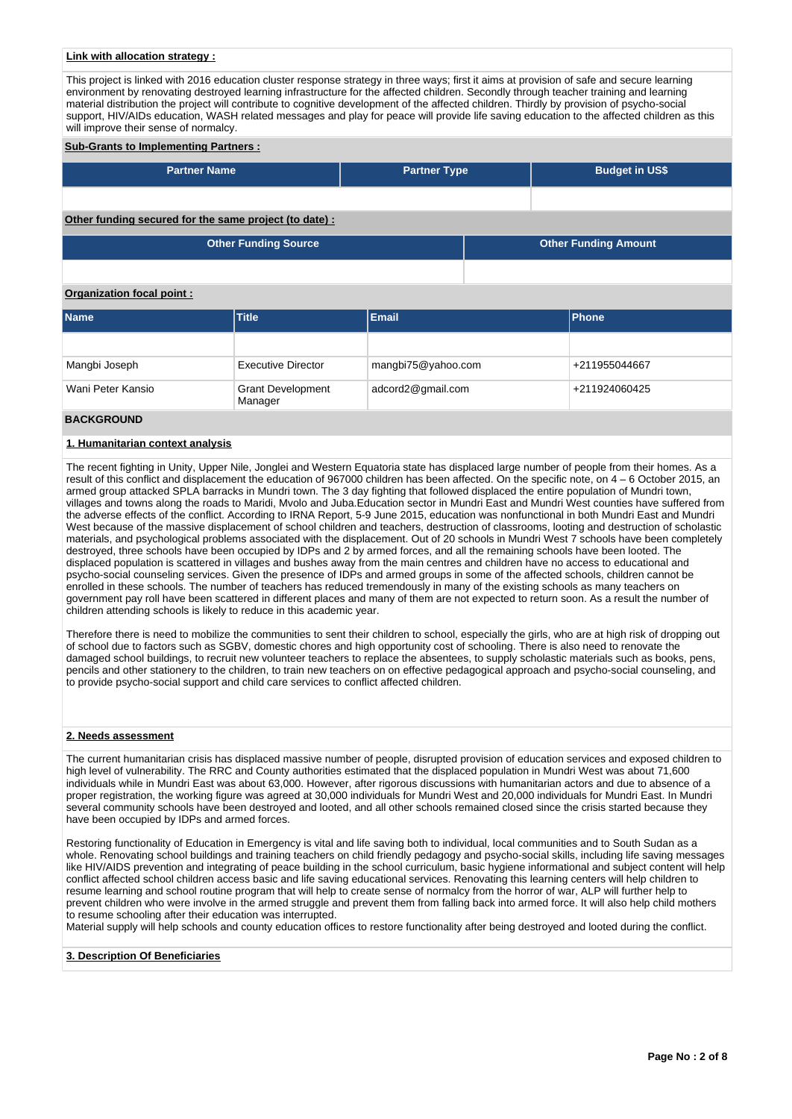## **Link with allocation strategy :**

This project is linked with 2016 education cluster response strategy in three ways; first it aims at provision of safe and secure learning environment by renovating destroyed learning infrastructure for the affected children. Secondly through teacher training and learning material distribution the project will contribute to cognitive development of the affected children. Thirdly by provision of psycho-social support, HIV/AIDs education, WASH related messages and play for peace will provide life saving education to the affected children as this will improve their sense of normalcy.

## **Sub-Grants to Implementing Partners :**

| <b>Partner Name</b> | <b>Partner Type</b> | <b>Budget in US\$</b> |
|---------------------|---------------------|-----------------------|
|                     |                     |                       |

## **Other funding secured for the same project (to date) :**

| <b>Other Funding Source</b> | <b>Other Funding Amount</b> |
|-----------------------------|-----------------------------|
|                             |                             |

# **Organization focal point :**

| <b>Name</b>       | <b>Email</b><br><b>Title</b>        |                    |               |  |
|-------------------|-------------------------------------|--------------------|---------------|--|
|                   |                                     |                    |               |  |
| Mangbi Joseph     | <b>Executive Director</b>           | mangbi75@yahoo.com | +211955044667 |  |
| Wani Peter Kansio | <b>Grant Development</b><br>Manager | adcord2@gmail.com  | +211924060425 |  |
|                   |                                     |                    |               |  |

# **BACKGROUND**

# **1. Humanitarian context analysis**

The recent fighting in Unity, Upper Nile, Jonglei and Western Equatoria state has displaced large number of people from their homes. As a result of this conflict and displacement the education of 967000 children has been affected. On the specific note, on 4 – 6 October 2015, an armed group attacked SPLA barracks in Mundri town. The 3 day fighting that followed displaced the entire population of Mundri town, villages and towns along the roads to Maridi, Mvolo and Juba.Education sector in Mundri East and Mundri West counties have suffered from the adverse effects of the conflict. According to IRNA Report, 5-9 June 2015, education was nonfunctional in both Mundri East and Mundri West because of the massive displacement of school children and teachers, destruction of classrooms, looting and destruction of scholastic materials, and psychological problems associated with the displacement. Out of 20 schools in Mundri West 7 schools have been completely destroyed, three schools have been occupied by IDPs and 2 by armed forces, and all the remaining schools have been looted. The displaced population is scattered in villages and bushes away from the main centres and children have no access to educational and psycho-social counseling services. Given the presence of IDPs and armed groups in some of the affected schools, children cannot be enrolled in these schools. The number of teachers has reduced tremendously in many of the existing schools as many teachers on government pay roll have been scattered in different places and many of them are not expected to return soon. As a result the number of children attending schools is likely to reduce in this academic year.

Therefore there is need to mobilize the communities to sent their children to school, especially the girls, who are at high risk of dropping out of school due to factors such as SGBV, domestic chores and high opportunity cost of schooling. There is also need to renovate the damaged school buildings, to recruit new volunteer teachers to replace the absentees, to supply scholastic materials such as books, pens, pencils and other stationery to the children, to train new teachers on on effective pedagogical approach and psycho-social counseling, and to provide psycho-social support and child care services to conflict affected children.

# **2. Needs assessment**

The current humanitarian crisis has displaced massive number of people, disrupted provision of education services and exposed children to high level of vulnerability. The RRC and County authorities estimated that the displaced population in Mundri West was about 71,600 individuals while in Mundri East was about 63,000. However, after rigorous discussions with humanitarian actors and due to absence of a proper registration, the working figure was agreed at 30,000 individuals for Mundri West and 20,000 individuals for Mundri East. In Mundri several community schools have been destroyed and looted, and all other schools remained closed since the crisis started because they have been occupied by IDPs and armed forces.

Restoring functionality of Education in Emergency is vital and life saving both to individual, local communities and to South Sudan as a whole. Renovating school buildings and training teachers on child friendly pedagogy and psycho-social skills, including life saving messages like HIV/AIDS prevention and integrating of peace building in the school curriculum, basic hygiene informational and subject content will help conflict affected school children access basic and life saving educational services. Renovating this learning centers will help children to resume learning and school routine program that will help to create sense of normalcy from the horror of war, ALP will further help to prevent children who were involve in the armed struggle and prevent them from falling back into armed force. It will also help child mothers to resume schooling after their education was interrupted.

Material supply will help schools and county education offices to restore functionality after being destroyed and looted during the conflict.

# **3. Description Of Beneficiaries**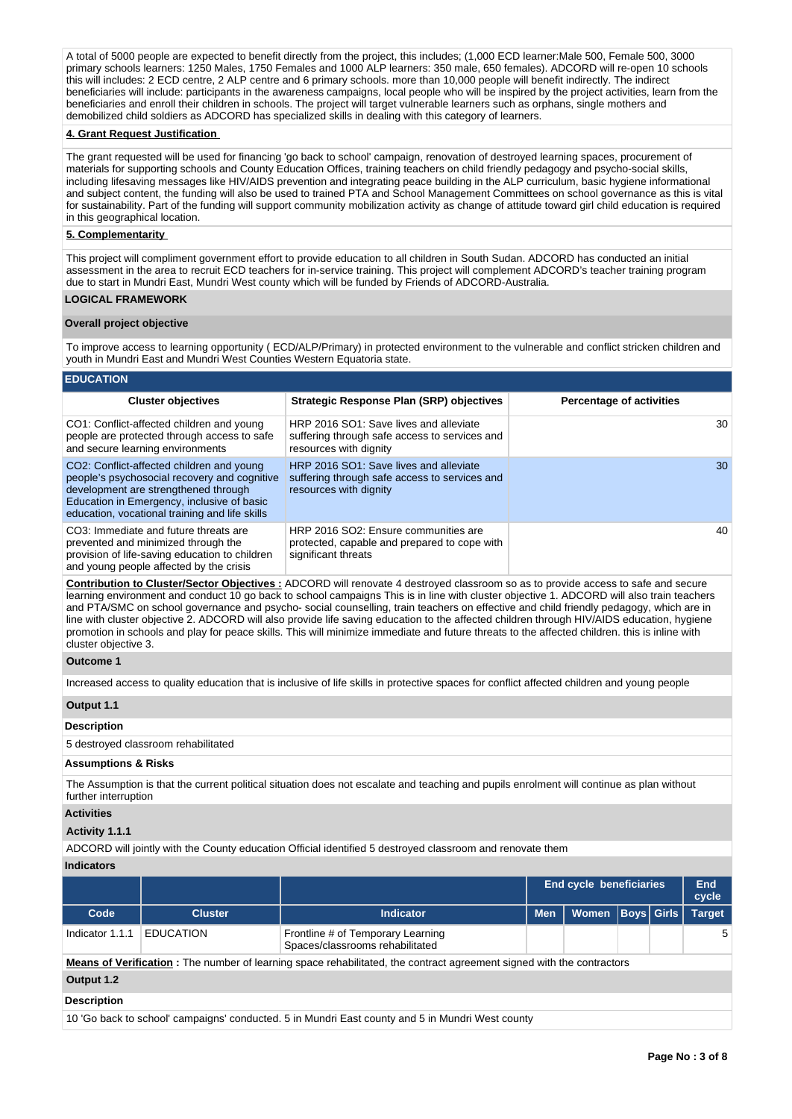A total of 5000 people are expected to benefit directly from the project, this includes; (1,000 ECD learner:Male 500, Female 500, 3000 primary schools learners: 1250 Males, 1750 Females and 1000 ALP learners: 350 male, 650 females). ADCORD will re-open 10 schools this will includes: 2 ECD centre, 2 ALP centre and 6 primary schools. more than 10,000 people will benefit indirectly. The indirect beneficiaries will include: participants in the awareness campaigns, local people who will be inspired by the project activities, learn from the beneficiaries and enroll their children in schools. The project will target vulnerable learners such as orphans, single mothers and demobilized child soldiers as ADCORD has specialized skills in dealing with this category of learners.

## **4. Grant Request Justification**

The grant requested will be used for financing 'go back to school' campaign, renovation of destroyed learning spaces, procurement of materials for supporting schools and County Education Offices, training teachers on child friendly pedagogy and psycho-social skills, including lifesaving messages like HIV/AIDS prevention and integrating peace building in the ALP curriculum, basic hygiene informational and subject content, the funding will also be used to trained PTA and School Management Committees on school governance as this is vital for sustainability. Part of the funding will support community mobilization activity as change of attitude toward girl child education is required in this geographical location.

## **5. Complementarity**

This project will compliment government effort to provide education to all children in South Sudan. ADCORD has conducted an initial assessment in the area to recruit ECD teachers for in-service training. This project will complement ADCORD's teacher training program due to start in Mundri East, Mundri West county which will be funded by Friends of ADCORD-Australia.

# **LOGICAL FRAMEWORK**

### **Overall project objective**

To improve access to learning opportunity ( ECD/ALP/Primary) in protected environment to the vulnerable and conflict stricken children and youth in Mundri East and Mundri West Counties Western Equatoria state.

## **EDUCATION**

| <b>Cluster objectives</b>                                                                                                                                                                                                         | <b>Strategic Response Plan (SRP) objectives</b>                                                                   | <b>Percentage of activities</b> |
|-----------------------------------------------------------------------------------------------------------------------------------------------------------------------------------------------------------------------------------|-------------------------------------------------------------------------------------------------------------------|---------------------------------|
| CO1: Conflict-affected children and young<br>people are protected through access to safe<br>and secure learning environments                                                                                                      | HRP 2016 SO1: Save lives and alleviate<br>suffering through safe access to services and<br>resources with dignity | 30                              |
| CO2: Conflict-affected children and young<br>people's psychosocial recovery and cognitive<br>development are strengthened through<br>Education in Emergency, inclusive of basic<br>education, vocational training and life skills | HRP 2016 SO1: Save lives and alleviate<br>suffering through safe access to services and<br>resources with dignity | 30                              |
| CO3: Immediate and future threats are<br>prevented and minimized through the<br>provision of life-saving education to children<br>and young people affected by the crisis                                                         | HRP 2016 SO2: Ensure communities are<br>protected, capable and prepared to cope with<br>significant threats       | 40                              |

**Contribution to Cluster/Sector Objectives :** ADCORD will renovate 4 destroyed classroom so as to provide access to safe and secure learning environment and conduct 10 go back to school campaigns This is in line with cluster objective 1. ADCORD will also train teachers and PTA/SMC on school governance and psycho- social counselling, train teachers on effective and child friendly pedagogy, which are in line with cluster objective 2. ADCORD will also provide life saving education to the affected children through HIV/AIDS education, hygiene promotion in schools and play for peace skills. This will minimize immediate and future threats to the affected children. this is inline with cluster objective 3.

## **Outcome 1**

Increased access to quality education that is inclusive of life skills in protective spaces for conflict affected children and young people

#### **Output 1.1**

## **Description**

5 destroyed classroom rehabilitated

### **Assumptions & Risks**

The Assumption is that the current political situation does not escalate and teaching and pupils enrolment will continue as plan without further interruption

# **Activities**

### **Activity 1.1.1**

ADCORD will jointly with the County education Official identified 5 destroyed classroom and renovate them

# **Indicators**

|                                                                                                  |                  |                                                                                                                               | <b>End cycle beneficiaries</b> | End<br>cycle |                   |  |               |  |  |  |
|--------------------------------------------------------------------------------------------------|------------------|-------------------------------------------------------------------------------------------------------------------------------|--------------------------------|--------------|-------------------|--|---------------|--|--|--|
| Code                                                                                             | <b>Cluster</b>   | Indicator                                                                                                                     | <b>Men</b>                     | <b>Women</b> | <b>Boys Girls</b> |  | <b>Target</b> |  |  |  |
| Indicator 1.1.1                                                                                  | <b>EDUCATION</b> | Frontline # of Temporary Learning<br>Spaces/classrooms rehabilitated                                                          |                                |              |                   |  | -5            |  |  |  |
|                                                                                                  |                  | <b>Means of Verification</b> : The number of learning space rehabilitated, the contract agreement signed with the contractors |                                |              |                   |  |               |  |  |  |
| Output 1.2                                                                                       |                  |                                                                                                                               |                                |              |                   |  |               |  |  |  |
| <b>Description</b>                                                                               |                  |                                                                                                                               |                                |              |                   |  |               |  |  |  |
| 10 'Go back to school' campaigns' conducted. 5 in Mundri East county and 5 in Mundri West county |                  |                                                                                                                               |                                |              |                   |  |               |  |  |  |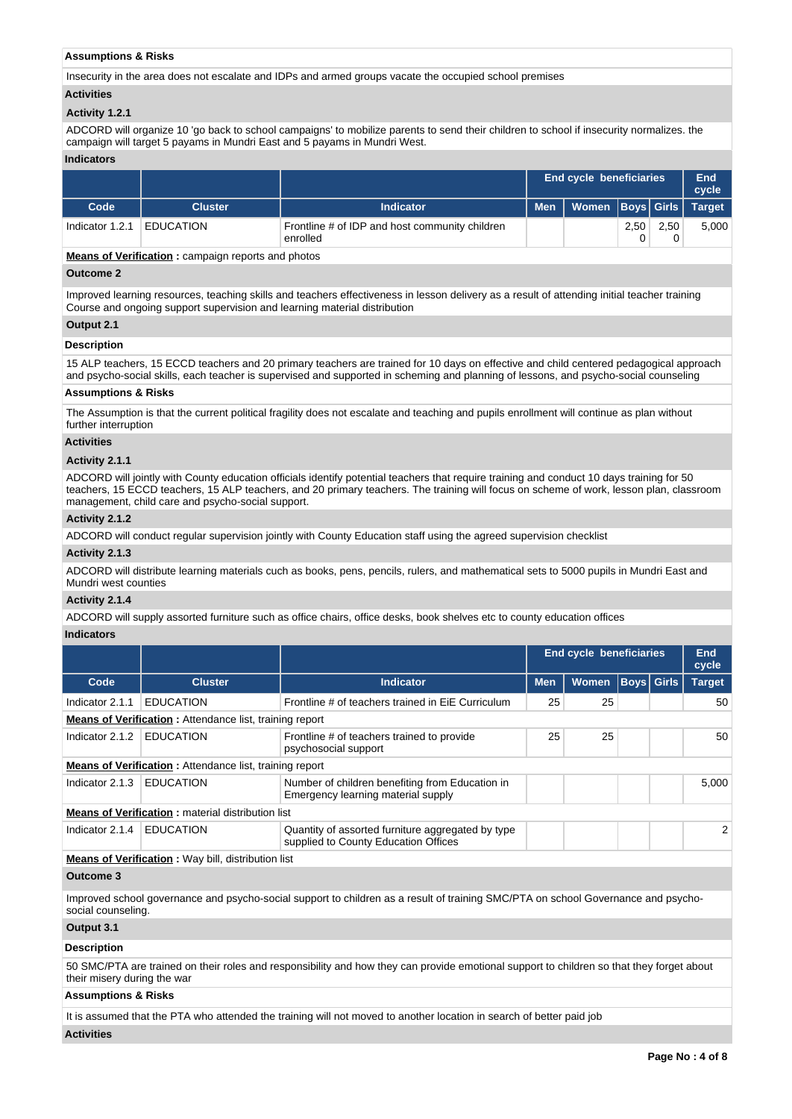# **Assumptions & Risks**

Insecurity in the area does not escalate and IDPs and armed groups vacate the occupied school premises

## **Activities**

## **Activity 1.2.1**

ADCORD will organize 10 'go back to school campaigns' to mobilize parents to send their children to school if insecurity normalizes. the campaign will target 5 payams in Mundri East and 5 payams in Mundri West.

### **Indicators**

|                 |                  |                                                            |            | End cycle beneficiaries       |      |      |       |  |
|-----------------|------------------|------------------------------------------------------------|------------|-------------------------------|------|------|-------|--|
| Code            | <b>Cluster</b>   | <b>Indicator</b>                                           | <b>Men</b> | Women   Boys   Girls   Target |      |      |       |  |
| Indicator 1.2.1 | <b>EDUCATION</b> | Frontline # of IDP and host community children<br>enrolled |            |                               | 2,50 | 2.50 | 5,000 |  |

**Means of Verification :** campaign reports and photos

## **Outcome 2**

Improved learning resources, teaching skills and teachers effectiveness in lesson delivery as a result of attending initial teacher training Course and ongoing support supervision and learning material distribution

# **Output 2.1**

# **Description**

15 ALP teachers, 15 ECCD teachers and 20 primary teachers are trained for 10 days on effective and child centered pedagogical approach and psycho-social skills, each teacher is supervised and supported in scheming and planning of lessons, and psycho-social counseling

## **Assumptions & Risks**

The Assumption is that the current political fragility does not escalate and teaching and pupils enrollment will continue as plan without further interruption

# **Activities**

# **Activity 2.1.1**

ADCORD will jointly with County education officials identify potential teachers that require training and conduct 10 days training for 50 teachers, 15 ECCD teachers, 15 ALP teachers, and 20 primary teachers. The training will focus on scheme of work, lesson plan, classroom management, child care and psycho-social support.

# **Activity 2.1.2**

ADCORD will conduct regular supervision jointly with County Education staff using the agreed supervision checklist

## **Activity 2.1.3**

ADCORD will distribute learning materials cuch as books, pens, pencils, rulers, and mathematical sets to 5000 pupils in Mundri East and Mundri west counties

# **Activity 2.1.4**

ADCORD will supply assorted furniture such as office chairs, office desks, book shelves etc to county education offices

## **Indicators**

|                 |                                                                |                                                                                           | <b>End cycle beneficiaries</b> | <b>End</b><br>cycle |  |                   |                |  |  |  |  |
|-----------------|----------------------------------------------------------------|-------------------------------------------------------------------------------------------|--------------------------------|---------------------|--|-------------------|----------------|--|--|--|--|
| Code            | <b>Cluster</b>                                                 | <b>Indicator</b>                                                                          | <b>Men</b>                     | <b>Women</b>        |  | <b>Boys Girls</b> | <b>Target</b>  |  |  |  |  |
| Indicator 2.1.1 | <b>EDUCATION</b>                                               | Frontline # of teachers trained in EiE Curriculum                                         | 25                             | 25                  |  |                   | 50             |  |  |  |  |
|                 | <b>Means of Verification:</b> Attendance list, training report |                                                                                           |                                |                     |  |                   |                |  |  |  |  |
| Indicator 2.1.2 | <b>EDUCATION</b>                                               | Frontline # of teachers trained to provide<br>psychosocial support                        | 25                             | 25                  |  |                   | 50             |  |  |  |  |
|                 | <b>Means of Verification:</b> Attendance list, training report |                                                                                           |                                |                     |  |                   |                |  |  |  |  |
| Indicator 2.1.3 | <b>EDUCATION</b>                                               | Number of children benefiting from Education in<br>Emergency learning material supply     |                                |                     |  |                   | 5.000          |  |  |  |  |
|                 | <b>Means of Verification:</b> material distribution list       |                                                                                           |                                |                     |  |                   |                |  |  |  |  |
| Indicator 2.1.4 | <b>EDUCATION</b>                                               | Quantity of assorted furniture aggregated by type<br>supplied to County Education Offices |                                |                     |  |                   | $\overline{2}$ |  |  |  |  |
|                 | Means of Varification - Woukill distribution list              |                                                                                           |                                |                     |  |                   |                |  |  |  |  |

#### **Means of Verification :** Way bill, distribution list

# **Outcome 3**

Improved school governance and psycho-social support to children as a result of training SMC/PTA on school Governance and psychosocial counseling

## **Output 3.1**

## **Description**

50 SMC/PTA are trained on their roles and responsibility and how they can provide emotional support to children so that they forget about their misery during the war

# **Assumptions & Risks**

It is assumed that the PTA who attended the training will not moved to another location in search of better paid job

# **Activities**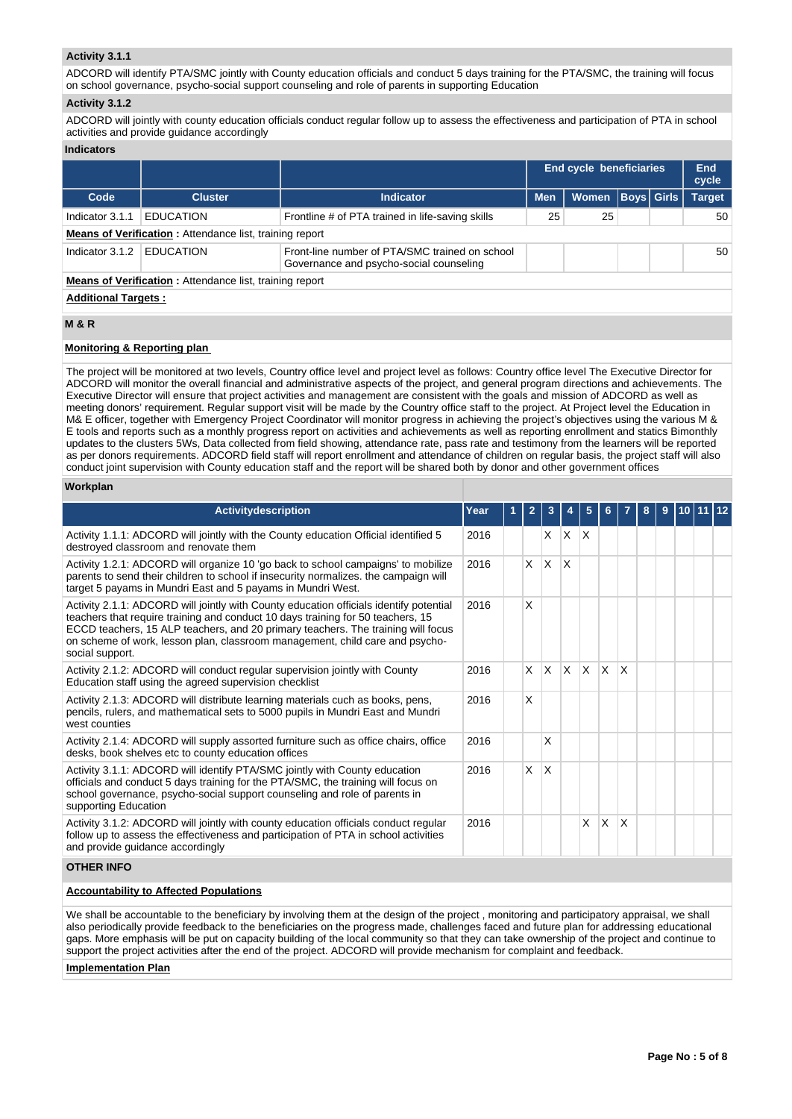# **Activity 3.1.1**

ADCORD will identify PTA/SMC jointly with County education officials and conduct 5 days training for the PTA/SMC, the training will focus on school governance, psycho-social support counseling and role of parents in supporting Education

## **Activity 3.1.2**

ADCORD will jointly with county education officials conduct regular follow up to assess the effectiveness and participation of PTA in school activities and provide guidance accordingly

#### **Indicators**

|                            |                                                                |                                                                                           | End cycle beneficiaries |              |  |                   | End<br>cycle  |
|----------------------------|----------------------------------------------------------------|-------------------------------------------------------------------------------------------|-------------------------|--------------|--|-------------------|---------------|
| Code                       | <b>Cluster</b>                                                 | <b>Indicator</b>                                                                          | <b>Men</b>              | <b>Women</b> |  | <b>Boys Girls</b> | <b>Target</b> |
| Indicator 3.1.1            | <b>EDUCATION</b>                                               | Frontline # of PTA trained in life-saving skills                                          | 25                      | 25           |  |                   | 50            |
|                            | <b>Means of Verification:</b> Attendance list, training report |                                                                                           |                         |              |  |                   |               |
| Indicator 3.1.2            | <b>FDUCATION</b>                                               | Front-line number of PTA/SMC trained on school<br>Governance and psycho-social counseling |                         |              |  |                   | 50            |
|                            | <b>Means of Verification:</b> Attendance list, training report |                                                                                           |                         |              |  |                   |               |
| <b>Additional Targets:</b> |                                                                |                                                                                           |                         |              |  |                   |               |

# **M & R**

# **Monitoring & Reporting plan**

The project will be monitored at two levels, Country office level and project level as follows: Country office level The Executive Director for ADCORD will monitor the overall financial and administrative aspects of the project, and general program directions and achievements. The Executive Director will ensure that project activities and management are consistent with the goals and mission of ADCORD as well as meeting donors' requirement. Regular support visit will be made by the Country office staff to the project. At Project level the Education in M& E officer, together with Emergency Project Coordinator will monitor progress in achieving the project's objectives using the various M & E tools and reports such as a monthly progress report on activities and achievements as well as reporting enrollment and statics Bimonthly updates to the clusters 5Ws, Data collected from field showing, attendance rate, pass rate and testimony from the learners will be reported as per donors requirements. ADCORD field staff will report enrollment and attendance of children on regular basis, the project staff will also conduct joint supervision with County education staff and the report will be shared both by donor and other government offices

# **Workplan**

| <b>Activitydescription</b>                                                                                                                                                                                                                                                                                                                                       | Year | $\overline{\mathbf{2}}$ | 3        |              | 5            |              |          | 8 | 9 | 10 <sup>1</sup> |  |
|------------------------------------------------------------------------------------------------------------------------------------------------------------------------------------------------------------------------------------------------------------------------------------------------------------------------------------------------------------------|------|-------------------------|----------|--------------|--------------|--------------|----------|---|---|-----------------|--|
|                                                                                                                                                                                                                                                                                                                                                                  |      |                         |          |              |              |              |          |   |   |                 |  |
| Activity 1.1.1: ADCORD will jointly with the County education Official identified 5<br>destroyed classroom and renovate them                                                                                                                                                                                                                                     | 2016 |                         | X.       | $\mathsf{X}$ | $\mathsf{x}$ |              |          |   |   |                 |  |
| Activity 1.2.1: ADCORD will organize 10 'go back to school campaigns' to mobilize<br>parents to send their children to school if insecurity normalizes, the campaign will<br>target 5 payams in Mundri East and 5 payams in Mundri West.                                                                                                                         | 2016 | $\times$                | <b>X</b> | <sup>X</sup> |              |              |          |   |   |                 |  |
| Activity 2.1.1: ADCORD will jointly with County education officials identify potential<br>teachers that require training and conduct 10 days training for 50 teachers, 15<br>ECCD teachers, 15 ALP teachers, and 20 primary teachers. The training will focus<br>on scheme of work, lesson plan, classroom management, child care and psycho-<br>social support. | 2016 | X                       |          |              |              |              |          |   |   |                 |  |
| Activity 2.1.2: ADCORD will conduct regular supervision jointly with County<br>Education staff using the agreed supervision checklist                                                                                                                                                                                                                            | 2016 | X                       | Ιx.      | ΙX.          | $\times$     | $\mathsf{X}$ | $\times$ |   |   |                 |  |
| Activity 2.1.3: ADCORD will distribute learning materials cuch as books, pens,<br>pencils, rulers, and mathematical sets to 5000 pupils in Mundri East and Mundri<br>west counties                                                                                                                                                                               | 2016 | X                       |          |              |              |              |          |   |   |                 |  |
| Activity 2.1.4: ADCORD will supply assorted furniture such as office chairs, office<br>desks, book shelves etc to county education offices                                                                                                                                                                                                                       | 2016 |                         | X        |              |              |              |          |   |   |                 |  |
| Activity 3.1.1: ADCORD will identify PTA/SMC jointly with County education<br>officials and conduct 5 days training for the PTA/SMC, the training will focus on<br>school governance, psycho-social support counseling and role of parents in<br>supporting Education                                                                                            | 2016 | X.                      | X        |              |              |              |          |   |   |                 |  |
| Activity 3.1.2: ADCORD will jointly with county education officials conduct regular<br>follow up to assess the effectiveness and participation of PTA in school activities<br>and provide quidance accordingly                                                                                                                                                   | 2016 |                         |          |              | X            | X            | X        |   |   |                 |  |
| <b>OTHER INFO</b>                                                                                                                                                                                                                                                                                                                                                |      |                         |          |              |              |              |          |   |   |                 |  |

#### **Accountability to Affected Populations**

We shall be accountable to the beneficiary by involving them at the design of the project , monitoring and participatory appraisal, we shall also periodically provide feedback to the beneficiaries on the progress made, challenges faced and future plan for addressing educational gaps. More emphasis will be put on capacity building of the local community so that they can take ownership of the project and continue to support the project activities after the end of the project. ADCORD will provide mechanism for complaint and feedback.

**Implementation Plan**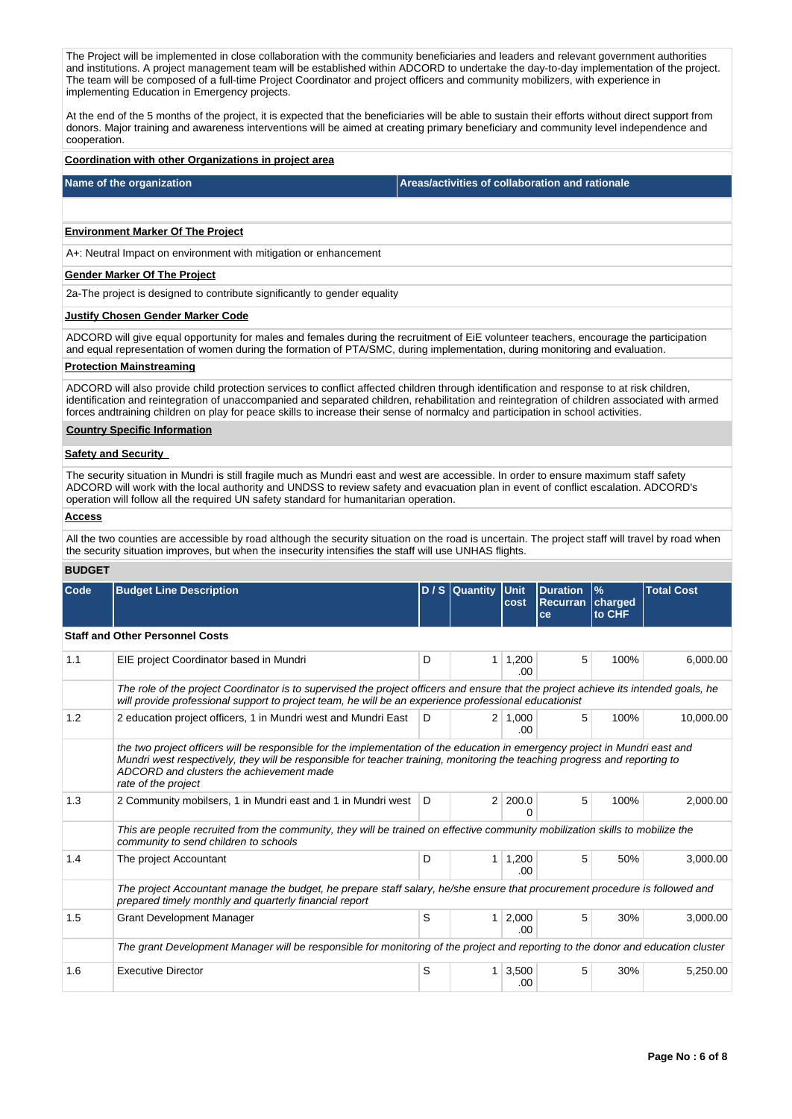The Project will be implemented in close collaboration with the community beneficiaries and leaders and relevant government authorities and institutions. A project management team will be established within ADCORD to undertake the day-to-day implementation of the project. The team will be composed of a full-time Project Coordinator and project officers and community mobilizers, with experience in implementing Education in Emergency projects.

At the end of the 5 months of the project, it is expected that the beneficiaries will be able to sustain their efforts without direct support from donors. Major training and awareness interventions will be aimed at creating primary beneficiary and community level independence and cooperation.

#### **Coordination with other Organizations in project area**

**Name of the organization Areas/activities of collaboration and rationale** 

# **Environment Marker Of The Project**

A+: Neutral Impact on environment with mitigation or enhancement

# **Gender Marker Of The Project**

2a-The project is designed to contribute significantly to gender equality

## **Justify Chosen Gender Marker Code**

ADCORD will give equal opportunity for males and females during the recruitment of EiE volunteer teachers, encourage the participation and equal representation of women during the formation of PTA/SMC, during implementation, during monitoring and evaluation.

#### **Protection Mainstreaming**

ADCORD will also provide child protection services to conflict affected children through identification and response to at risk children, identification and reintegration of unaccompanied and separated children, rehabilitation and reintegration of children associated with armed forces andtraining children on play for peace skills to increase their sense of normalcy and participation in school activities.

## **Country Specific Information**

## **Safety and Security**

The security situation in Mundri is still fragile much as Mundri east and west are accessible. In order to ensure maximum staff safety ADCORD will work with the local authority and UNDSS to review safety and evacuation plan in event of conflict escalation. ADCORD's operation will follow all the required UN safety standard for humanitarian operation.

# **Access**

All the two counties are accessible by road although the security situation on the road is uncertain. The project staff will travel by road when the security situation improves, but when the insecurity intensifies the staff will use UNHAS flights.

## **BUDGET**

| Code | <b>Budget Line Description</b>                                                                                                                                                                                                                                                                                                |   | $D / S$ Quantity | <b>Unit</b><br>cost   | <b>Duration</b><br><b>Recurran</b><br>ce | $\frac{9}{6}$<br>charged<br>to CHF | <b>Total Cost</b> |  |  |  |
|------|-------------------------------------------------------------------------------------------------------------------------------------------------------------------------------------------------------------------------------------------------------------------------------------------------------------------------------|---|------------------|-----------------------|------------------------------------------|------------------------------------|-------------------|--|--|--|
|      | <b>Staff and Other Personnel Costs</b>                                                                                                                                                                                                                                                                                        |   |                  |                       |                                          |                                    |                   |  |  |  |
| 1.1  | EIE project Coordinator based in Mundri                                                                                                                                                                                                                                                                                       | D | 1                | 1,200<br>.00          | 5                                        | 100%                               | 6,000.00          |  |  |  |
|      | The role of the project Coordinator is to supervised the project officers and ensure that the project achieve its intended goals, he<br>will provide professional support to project team, he will be an experience professional educationist                                                                                 |   |                  |                       |                                          |                                    |                   |  |  |  |
| 1.2  | 2 education project officers, 1 in Mundri west and Mundri East                                                                                                                                                                                                                                                                | D |                  | $2 \mid 1,000$<br>.00 | 5                                        | 100%                               | 10,000.00         |  |  |  |
|      | the two project officers will be responsible for the implementation of the education in emergency project in Mundri east and<br>Mundri west respectively, they will be responsible for teacher training, monitoring the teaching progress and reporting to<br>ADCORD and clusters the achievement made<br>rate of the project |   |                  |                       |                                          |                                    |                   |  |  |  |
| 1.3  | 2 Community mobilsers, 1 in Mundri east and 1 in Mundri west   D                                                                                                                                                                                                                                                              |   | $\overline{2}$   | 200.0<br>O            | 5                                        | 100%                               | 2,000.00          |  |  |  |
|      | This are people recruited from the community, they will be trained on effective community mobilization skills to mobilize the<br>community to send children to schools                                                                                                                                                        |   |                  |                       |                                          |                                    |                   |  |  |  |
| 1.4  | The project Accountant                                                                                                                                                                                                                                                                                                        | D | 1                | 1,200<br>.00          | 5                                        | 50%                                | 3.000.00          |  |  |  |
|      | The project Accountant manage the budget, he prepare staff salary, he/she ensure that procurement procedure is followed and<br>prepared timely monthly and quarterly financial report                                                                                                                                         |   |                  |                       |                                          |                                    |                   |  |  |  |
| 1.5  | <b>Grant Development Manager</b>                                                                                                                                                                                                                                                                                              | S | $\mathbf{1}$     | 2,000<br>.00          | 5                                        | 30%                                | 3,000.00          |  |  |  |
|      | The grant Development Manager will be responsible for monitoring of the project and reporting to the donor and education cluster                                                                                                                                                                                              |   |                  |                       |                                          |                                    |                   |  |  |  |
| 1.6  | <b>Executive Director</b>                                                                                                                                                                                                                                                                                                     | S | 1.               | 3,500<br>.00.         | 5                                        | 30%                                | 5,250.00          |  |  |  |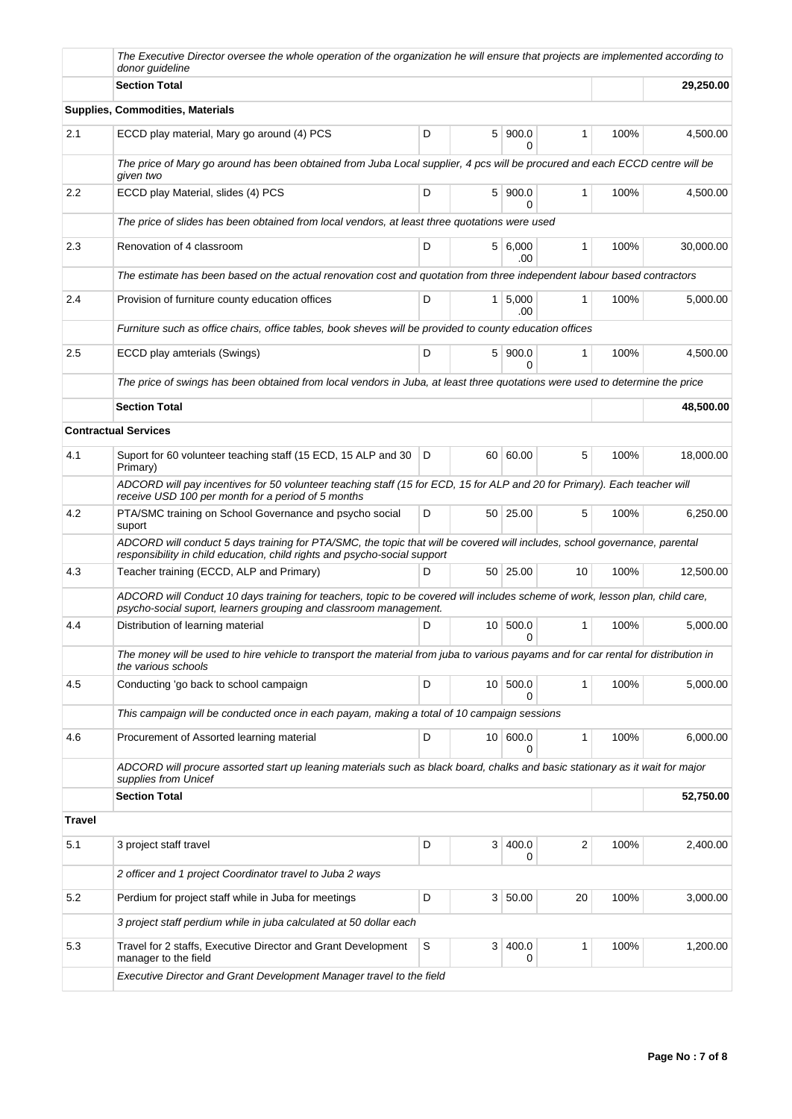|               | The Executive Director oversee the whole operation of the organization he will ensure that projects are implemented according to<br>donor quideline                                                     |   |                 |                         |                         |      |           |  |  |  |
|---------------|---------------------------------------------------------------------------------------------------------------------------------------------------------------------------------------------------------|---|-----------------|-------------------------|-------------------------|------|-----------|--|--|--|
|               | <b>Section Total</b>                                                                                                                                                                                    |   | 29,250.00       |                         |                         |      |           |  |  |  |
|               | <b>Supplies, Commodities, Materials</b>                                                                                                                                                                 |   |                 |                         |                         |      |           |  |  |  |
| 2.1           | ECCD play material, Mary go around (4) PCS                                                                                                                                                              | D | 5 <sup>1</sup>  | 900.0<br>0              | $\mathbf{1}$            | 100% | 4,500.00  |  |  |  |
|               | The price of Mary go around has been obtained from Juba Local supplier, 4 pcs will be procured and each ECCD centre will be<br>given two                                                                |   |                 |                         |                         |      |           |  |  |  |
| 2.2           | ECCD play Material, slides (4) PCS                                                                                                                                                                      | D |                 | 5 900.0<br>$\Omega$     | 1                       | 100% | 4,500.00  |  |  |  |
|               | The price of slides has been obtained from local vendors, at least three quotations were used                                                                                                           |   |                 |                         |                         |      |           |  |  |  |
| 2.3           | Renovation of 4 classroom                                                                                                                                                                               | D |                 | 5   6,000<br>.00        | $\mathbf{1}$            | 100% | 30,000.00 |  |  |  |
|               | The estimate has been based on the actual renovation cost and quotation from three independent labour based contractors                                                                                 |   |                 |                         |                         |      |           |  |  |  |
| 2.4           | Provision of furniture county education offices                                                                                                                                                         | D | 1 <sup>1</sup>  | 5,000<br>.00            | $\mathbf{1}$            | 100% | 5,000.00  |  |  |  |
|               | Furniture such as office chairs, office tables, book sheves will be provided to county education offices                                                                                                |   |                 |                         |                         |      |           |  |  |  |
| 2.5           | ECCD play amterials (Swings)                                                                                                                                                                            | D |                 | 5 900.0<br><sup>0</sup> | $\mathbf{1}$            | 100% | 4,500.00  |  |  |  |
|               | The price of swings has been obtained from local vendors in Juba, at least three quotations were used to determine the price                                                                            |   |                 |                         |                         |      |           |  |  |  |
|               | <b>Section Total</b>                                                                                                                                                                                    |   |                 |                         |                         |      | 48,500.00 |  |  |  |
|               | <b>Contractual Services</b>                                                                                                                                                                             |   |                 |                         |                         |      |           |  |  |  |
| 4.1           | Suport for 60 volunteer teaching staff (15 ECD, 15 ALP and 30<br>Primary)                                                                                                                               | D |                 | 60 60.00                | 5                       | 100% | 18,000.00 |  |  |  |
|               | ADCORD will pay incentives for 50 volunteer teaching staff (15 for ECD, 15 for ALP and 20 for Primary). Each teacher will<br>receive USD 100 per month for a period of 5 months                         |   |                 |                         |                         |      |           |  |  |  |
| 4.2           | PTA/SMC training on School Governance and psycho social<br>suport                                                                                                                                       | D |                 | 50   25.00              | 5                       | 100% | 6,250.00  |  |  |  |
|               | ADCORD will conduct 5 days training for PTA/SMC, the topic that will be covered will includes, school governance, parental<br>responsibility in child education, child rights and psycho-social support |   |                 |                         |                         |      |           |  |  |  |
| 4.3           | Teacher training (ECCD, ALP and Primary)                                                                                                                                                                | D |                 | 50 25.00                | 10                      | 100% | 12,500.00 |  |  |  |
|               | ADCORD will Conduct 10 days training for teachers, topic to be covered will includes scheme of work, lesson plan, child care,<br>psycho-social suport, learners grouping and classroom management.      |   |                 |                         |                         |      |           |  |  |  |
| 4.4           | Distribution of learning material                                                                                                                                                                       | D | 10 <sup>1</sup> | 500.0<br>0              | 1                       | 100% | 5,000.00  |  |  |  |
|               | The money will be used to hire vehicle to transport the material from juba to various payams and for car rental for distribution in<br>the various schools                                              |   |                 |                         |                         |      |           |  |  |  |
| 4.5           | Conducting 'go back to school campaign                                                                                                                                                                  | D | 10 <sup>1</sup> | 500.0<br>0              | 1                       | 100% | 5,000.00  |  |  |  |
|               | This campaign will be conducted once in each payam, making a total of 10 campaign sessions                                                                                                              |   |                 |                         |                         |      |           |  |  |  |
| 4.6           | Procurement of Assorted learning material                                                                                                                                                               | D |                 | 10 600.0<br>$\Omega$    | 1                       | 100% | 6,000.00  |  |  |  |
|               | ADCORD will procure assorted start up leaning materials such as black board, chalks and basic stationary as it wait for major<br>supplies from Unicef                                                   |   |                 |                         |                         |      |           |  |  |  |
|               | <b>Section Total</b>                                                                                                                                                                                    |   |                 |                         |                         |      | 52,750.00 |  |  |  |
| <b>Travel</b> |                                                                                                                                                                                                         |   |                 |                         |                         |      |           |  |  |  |
| 5.1           | 3 project staff travel                                                                                                                                                                                  | D | 3 <sup>1</sup>  | 400.0<br>0              | $\overline{\mathbf{c}}$ | 100% | 2,400.00  |  |  |  |
|               | 2 officer and 1 project Coordinator travel to Juba 2 ways                                                                                                                                               |   |                 |                         |                         |      |           |  |  |  |
| 5.2           | Perdium for project staff while in Juba for meetings                                                                                                                                                    | D | 3 <sup>1</sup>  | 50.00                   | 20                      | 100% | 3,000.00  |  |  |  |
|               | 3 project staff perdium while in juba calculated at 50 dollar each                                                                                                                                      |   |                 |                         |                         |      |           |  |  |  |
| 5.3           | Travel for 2 staffs, Executive Director and Grant Development<br>manager to the field                                                                                                                   | S | 3               | 400.0<br>0              | 1                       | 100% | 1,200.00  |  |  |  |
|               | Executive Director and Grant Development Manager travel to the field                                                                                                                                    |   |                 |                         |                         |      |           |  |  |  |